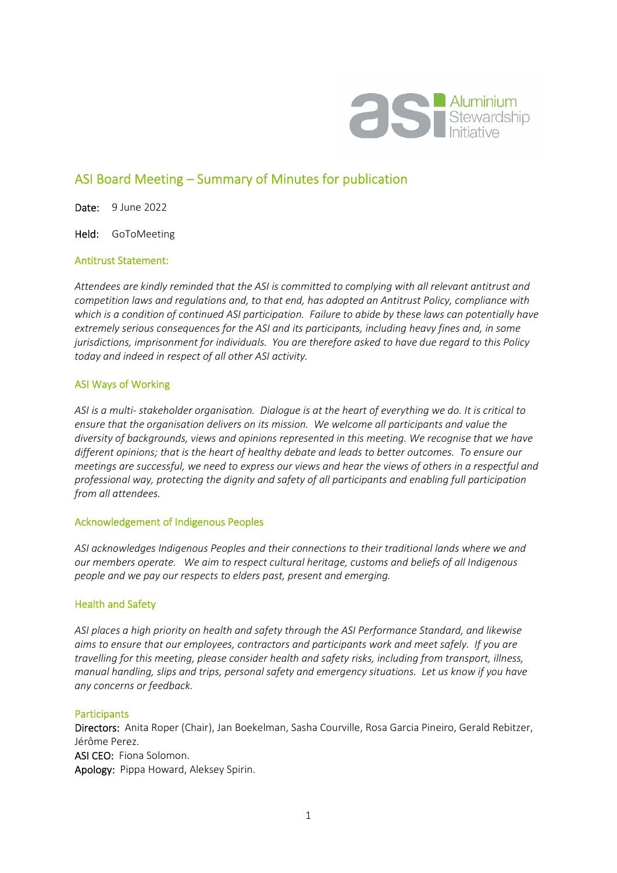

# ASI Board Meeting – Summary of Minutes for publication

Date: 9 June 2022

Held: GoToMeeting

#### Antitrust Statement:

*Attendees are kindly reminded that the ASI is committed to complying with all relevant antitrust and competition laws and regulations and, to that end, has adopted an Antitrust Policy, compliance with which is a condition of continued ASI participation. Failure to abide by these laws can potentially have extremely serious consequences for the ASI and its participants, including heavy fines and, in some jurisdictions, imprisonment for individuals. You are therefore asked to have due regard to this Policy today and indeed in respect of all other ASI activity.* 

#### ASI Ways of Working

*ASI is a multi- stakeholder organisation. Dialogue is at the heart of everything we do. It is critical to ensure that the organisation delivers on its mission. We welcome all participants and value the diversity of backgrounds, views and opinions represented in this meeting. We recognise that we have different opinions; that is the heart of healthy debate and leads to better outcomes. To ensure our meetings are successful, we need to express our views and hear the views of others in a respectful and professional way, protecting the dignity and safety of all participants and enabling full participation from all attendees.* 

#### Acknowledgement of Indigenous Peoples

*ASI acknowledges Indigenous Peoples and their connections to their traditional lands where we and our members operate. We aim to respect cultural heritage, customs and beliefs of all Indigenous people and we pay our respects to elders past, present and emerging.* 

#### Health and Safety

*ASI places a high priority on health and safety through the ASI Performance Standard, and likewise aims to ensure that our employees, contractors and participants work and meet safely. If you are travelling for this meeting, please consider health and safety risks, including from transport, illness, manual handling, slips and trips, personal safety and emergency situations. Let us know if you have any concerns or feedback.* 

#### **Participants**

Directors: Anita Roper (Chair), Jan Boekelman, Sasha Courville, Rosa Garcia Pineiro, Gerald Rebitzer, Jérôme Perez. ASI CEO: Fiona Solomon. Apology: Pippa Howard, Aleksey Spirin.